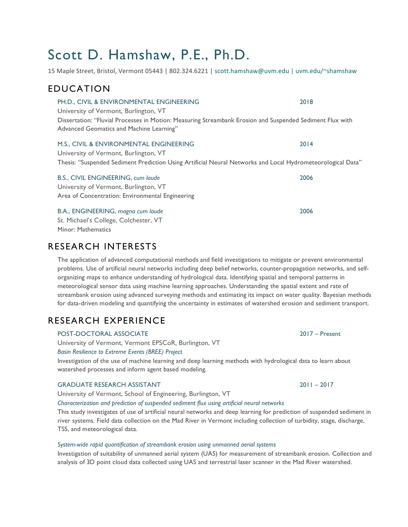# Scott D. Hamshaw, P.E., Ph.D.

15 Maple Street, Bristol, Vermont 05443 | 802.324.6221 | scott.hamshaw@uvm.edu | uvm.edu/~shamshaw

### EDUCATION

PH.D., CIVIL & ENVIRONMENTAL ENGINEERING 2018 University of Vermont, Burlington, VT Dissertation: "Fluvial Processes in Motion: Measuring Streambank Erosion and Suspended Sediment Flux with Advanced Geomatics and Machine Learning"

#### M.S., CIVIL & ENVIRONMENTAL ENGINEERING 2014

University of Vermont, Burlington, VT Thesis: "Suspended Sediment Prediction Using Artificial Neural Networks and Local Hydrometeorological Data"

| B.S., CIVIL ENGINEERING, cum laude               | 2006 |
|--------------------------------------------------|------|
| University of Vermont, Burlington, VT            |      |
| Area of Concentration: Environmental Engineering |      |
| B.A., ENGINEERING, magna cum laude               | 2006 |
| St. Michael's College, Colchester, VT            |      |

Minor: Mathematics

### RESEARCH INTERESTS

The application of advanced computational methods and field investigations to mitigate or prevent environmental problems. Use of artificial neural networks including deep belief networks, counter-propagation networks, and selforganizing maps to enhance understanding of hydrological data. Identifying spatial and temporal patterns in meteorological sensor data using machine learning approaches. Understanding the spatial extent and rate of streambank erosion using advanced surveying methods and estimating its impact on water quality. Bayesian methods for data-driven modeling and quantifying the uncertainty in estimates of watershed erosion and sediment transport.

## RESEARCH EXPERIENCE

POST-DOCTORAL ASSOCIATE 2017 – Present University of Vermont, Vermont EPSCoR, Burlington, VT *Basin Resilience to Extreme Events (BREE) Project*

Investigation of the use of machine learning and deep learning methods with hydrological data to learn about watershed processes and inform agent based modeling.

#### GRADUATE RESEARCH ASSISTANT 2011 – 2017

University of Vermont, School of Engineering, Burlington, VT

*Characterization and prediction of suspended sediment flux using artificial neural networks*

This study investigates of use of artificial neural networks and deep learning for prediction of suspended sediment in river systems. Field data collection on the Mad River in Vermont including collection of turbidity, stage, discharge, TSS, and meteorological data.

#### *System-wide rapid quantification of streambank erosion using unmanned aerial systems*

Investigation of suitability of unmanned aerial system (UAS) for measurement of streambank erosion. Collection and analysis of 3D point cloud data collected using UAS and terrestrial laser scanner in the Mad River watershed.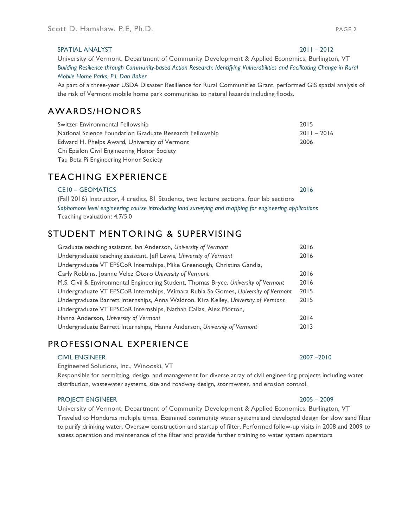#### SPATIAL ANALYST 2011 – 2012

University of Vermont, Department of Community Development & Applied Economics, Burlington, VT *Building Resilience through Community-based Action Research: Identifying Vulnerabilities and Facilitating Change in Rural Mobile Home Parks, P.I. Dan Baker*

As part of a three-year USDA Disaster Resilience for Rural Communities Grant, performed GIS spatial analysis of the risk of Vermont mobile home park communities to natural hazards including floods.

### AWARDS/HONORS

| Switzer Environmental Fellowship                         | 2015          |
|----------------------------------------------------------|---------------|
| National Science Foundation Graduate Research Fellowship | $2011 - 2016$ |
| Edward H. Phelps Award, University of Vermont            | 2006          |
| Chi Epsilon Civil Engineering Honor Society              |               |
| Tau Beta Pi Engineering Honor Society                    |               |

### TEACHING EXPERIENCE

CE10 – GEOMATICS 2016 (Fall 2016) Instructor, 4 credits, 81 Students, two lecture sections, four lab sections *Sophomore level engineering course introducing land surveying and mapping for engineering applications* Teaching evaluation: 4.7/5.0

### STUDENT MENTORING & SUPERVISING

| Graduate teaching assistant, Ian Anderson, University of Vermont                    | 2016 |
|-------------------------------------------------------------------------------------|------|
| Undergraduate teaching assistant, Jeff Lewis, University of Vermont                 | 2016 |
| Undergraduate VT EPSCoR Internships, Mike Greenough, Christina Gandia,              |      |
| Carly Robbins, Joanne Velez Otoro University of Vermont                             | 2016 |
| M.S. Civil & Environmental Engineering Student, Thomas Bryce, University of Vermont | 2016 |
| Undergraduate VT EPSCoR Internships, Wimara Rubia Sa Gomes, University of Vermont   | 2015 |
| Undergraduate Barrett Internships, Anna Waldron, Kira Kelley, University of Vermont | 2015 |
| Undergraduate VT EPSCoR Internships, Nathan Callas, Alex Morton,                    |      |
| Hanna Anderson, University of Vermont                                               | 2014 |
| Undergraduate Barrett Internships, Hanna Anderson, University of Vermont            | 2013 |

### PROFESSIONAL EXPERIENCE

#### CIVIL ENGINEER 2007 –2010

Engineered Solutions, Inc., Winooski, VT

Responsible for permitting, design, and management for diverse array of civil engineering projects including water distribution, wastewater systems, site and roadway design, stormwater, and erosion control.

#### PROJECT ENGINEER 2005 – 2009

University of Vermont, Department of Community Development & Applied Economics, Burlington, VT Traveled to Honduras multiple times. Examined community water systems and developed design for slow sand filter to purify drinking water. Oversaw construction and startup of filter. Performed follow-up visits in 2008 and 2009 to assess operation and maintenance of the filter and provide further training to water system operators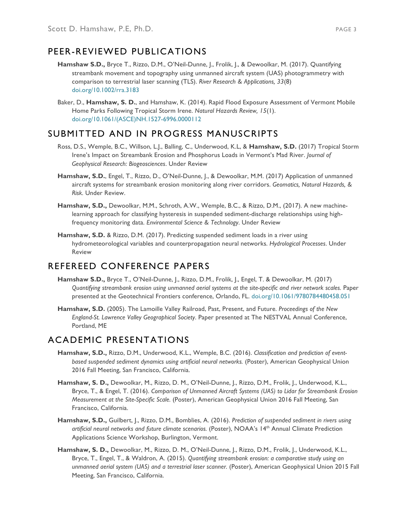### PEER-REVIEWED PUBLICATIONS

- **Hamshaw S.D.,** Bryce T., Rizzo, D.M., O'Neil-Dunne, J., Frolik, J., & Dewoolkar, M. (2017). Quantifying streambank movement and topography using unmanned aircraft system (UAS) photogrammetry with comparison to terrestrial laser scanning (TLS). *River Research & Applications, 33*(8) doi.org/10.1002/rra.3183
- Baker, D., **Hamshaw, S. D.**, and Hamshaw, K. (2014). Rapid Flood Exposure Assessment of Vermont Mobile Home Parks Following Tropical Storm Irene. *Natural Hazards Review, 15*(1). doi.org/10.1061/(ASCE)NH.1527-6996.0000112

### SUBMITTED AND IN PROGRESS MANUSCRIPTS

- Ross, D.S., Wemple, B.C., Willson, L.J., Balling, C., Underwood, K.L, & **Hamshaw, S.D.** (2017) Tropical Storm Irene's Impact on Streambank Erosion and Phosphorus Loads in Vermont's Mad River. *Journal of Geophysical Research: Biogeosciences*. Under Review
- **Hamshaw, S.D.**, Engel, T., Rizzo, D., O'Neil-Dunne, J., & Dewoolkar, M.M. (2017) Application of unmanned aircraft systems for streambank erosion monitoring along river corridors. *Geomatics, Natural Hazards, & Risk.* Under Review.
- **Hamshaw, S.D.,** Dewoolkar, M.M., Schroth, A.W., Wemple, B.C., & Rizzo, D.M., (2017). A new machinelearning approach for classifying hysteresis in suspended sediment-discharge relationships using highfrequency monitoring data. *Environmental Science & Technology*. Under Review
- **Hamshaw, S.D.** & Rizzo, D.M. (2017). Predicting suspended sediment loads in a river using hydrometeorological variables and counterpropagation neural networks. *Hydrological Processes*. Under Review

### REFEREED CONFERENCE PAPERS

- **Hamshaw S.D.,** Bryce T., O'Neil-Dunne, J., Rizzo, D.M., Frolik, J., Engel, T. & Dewoolkar, M. (2017) *Quantifying streambank erosion using unmanned aerial systems at the site-specific and river network scales.* Paper presented at the Geotechnical Frontiers conference, Orlando, FL. doi.org/10.1061/9780784480458.051
- **Hamshaw, S.D.** (2005). The Lamoille Valley Railroad, Past, Present, and Future. *Proceedings of the New England-St. Lawrence Valley Geographical Society*. Paper presented at The NESTVAL Annual Conference, Portland, ME

### ACADEMIC PRESENTATIONS

- **Hamshaw, S.D.,** Rizzo, D.M., Underwood, K.L., Wemple, B.C. (2016). *Classification and prediction of eventbased suspended sediment dynamics using artificial neural networks.* (Poster), American Geophysical Union 2016 Fall Meeting, San Francisco, California.
- **Hamshaw, S. D.,** Dewoolkar, M., Rizzo, D. M., O'Neil-Dunne, J., Rizzo, D.M., Frolik, J., Underwood, K.L., Bryce, T., & Engel, T. (2016). *Comparison of Unmanned Aircraft Systems (UAS) to Lidar for Streambank Erosion Measurement at the Site-Specific Scale.* (Poster), American Geophysical Union 2016 Fall Meeting, San Francisco, California.
- **Hamshaw, S.D.,** Guilbert, J., Rizzo, D.M., Bomblies, A. (2016). *Prediction of suspended sediment in rivers using*  artificial neural networks and future climate scenarios. (Poster), NOAA's 14<sup>th</sup> Annual Climate Prediction Applications Science Workshop, Burlington, Vermont.
- **Hamshaw, S. D.,** Dewoolkar, M., Rizzo, D. M., O'Neil-Dunne, J., Rizzo, D.M., Frolik, J., Underwood, K.L., Bryce, T., Engel, T., & Waldron, A. (2015). *Quantifying streambank erosion: a comparative study using an unmanned aerial system (UAS) and a terrestrial laser scanner.* (Poster), American Geophysical Union 2015 Fall Meeting, San Francisco, California.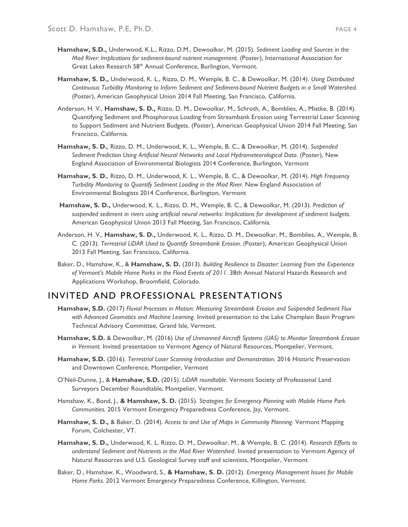- **Hamshaw, S.D.,** Underwood, K.L., Rizzo, D.M., Dewoolkar, M. (2015). *Sediment Loading and Sources in the Mad River: Implications for sediment-bound nutrient management.* (Poster), International Association for Great Lakes Research 58<sup>th</sup> Annual Conference, Burlington, Vermont.
- **Hamshaw, S. D.,** Underwood, K. L., Rizzo, D. M., Wemple, B. C., & Dewoolkar, M. (2014). *Using Distributed Continuous Turbidity Monitoring to Inform Sediment and Sediment-bound Nutrient Budgets in a Small Watershed*. (Poster), American Geophysical Union 2014 Fall Meeting, San Francisco, California.
- Anderson, H. V., **Hamshaw, S. D.,** Rizzo, D. M., Dewoolkar, M., Schroth, A., Bomblies, A., Miatke, B. (2014). Quantifying Sediment and Phosphorous Loading from Streambank Erosion using Terrestrial Laser Scanning to Support Sediment and Nutrient Budgets. (Poster), American Geophysical Union 2014 Fall Meeting, San Francisco, California.
- **Hamshaw, S. D.**, Rizzo, D. M., Underwood, K. L., Wemple, B. C., & Dewoolkar, M. (2014). *Suspended Sediment Prediction Using Artificial Neural Networks and Local Hydrometeorological Data*. (Poster), New England Association of Environmental Biologists 2014 Conference, Burlington, Vermont
- **Hamshaw, S. D.**, Rizzo, D. M., Underwood, K. L., Wemple, B. C., & Dewoolkar, M. (2014). *High Frequency Turbidity Monitoring to Quantify Sediment Loading in the Mad River.* New England Association of Environmental Biologists 2014 Conference, Burlington, Vermont
- **Hamshaw, S. D.,** Underwood, K. L., Rizzo, D. M., Wemple, B. C., & Dewoolkar, M. (2013). *Prediction of suspended sediment in rivers using artificial neural networks: Implications for development of sediment budgets.* American Geophysical Union 2013 Fall Meeting, San Francisco, California*.*
- Anderson, H. V., **Hamshaw, S. D.,** Underwood, K. L., Rizzo, D. M., Dewoolkar, M., Bomblies, A., Wemple, B. C. (2013). *Terrestrial LiDAR Used to Quantify Streambank Erosion. (*Poster), American Geophysical Union 2013 Fall Meeting, San Francisco, California*.*
- Baker, D., Hamshaw, K., & **Hamshaw, S. D.** (2013). *Building Resilience to Disaster: Learning from the Experience of Vermont's Mobile Home Parks in the Flood Events of 2011.* 38th Annual Natural Hazards Research and Applications Workshop, Broomfield, Colorado.

### INVITED AND PROFESSIONAL PRESENTATIONS

- **Hamshaw, S.D.** (2017) *Fluvial Processes in Motion: Measuring Streambank Erosion and Suspended Sediment Flux with Advanced Geomatics and Machine Learning*. Invited presentation to the Lake Champlain Basin Program Technical Advisory Committee, Grand Isle, Vermont.
- **Hamshaw, S.D.** & Dewoolkar, M. (2016) *Use of Unmanned Aircraft Systems (UAS) to Monitor Streambank Erosion in Vermont.* Invited presentation to Vermont Agency of Natural Resources, Montpelier, Vermont.
- **Hamshaw, S.D.** (2016). *Terrestrial Laser Scanning Introduction and Demonstration.* 2016 Historic Preservation and Downtown Conference, Montpelier, Vermont
- O'Neil-Dunne, J., & **Hamshaw, S.D.** (2015). *LiDAR roundtable.* Vermont Society of Professional Land Surveyors December Roundtable, Montpelier, Vermont.
- Hamshaw, K., Bond, J., **& Hamshaw, S. D.** (2015). *Strategies for Emergency Planning with Mobile Home Park Communities.* 2015 Vermont Emergency Preparedness Conference, Jay, Vermont.
- **Hamshaw, S. D.,** & Baker, D. (2014). *Access to and Use of Maps in Community Planning.* Vermont Mapping Forum, Colchester, VT.
- **Hamshaw, S. D.,** Underwood, K. L. Rizzo, D. M., Dewoolkar, M., & Wemple, B. C. (2014). *Research Efforts to understand Sediment and Nutrients in the Mad River Watershed*. Invited presentation to Vermont Agency of Natural Resources and U.S. Geological Survey staff and scientists, Montpelier, Vermont
- Baker, D., Hamshaw, K., Woodward, S., **& Hamshaw, S. D.** (2012). *Emergency Management Issues for Mobile Home Parks.* 2012 Vermont Emergency Preparedness Conference, Killington, Vermont.